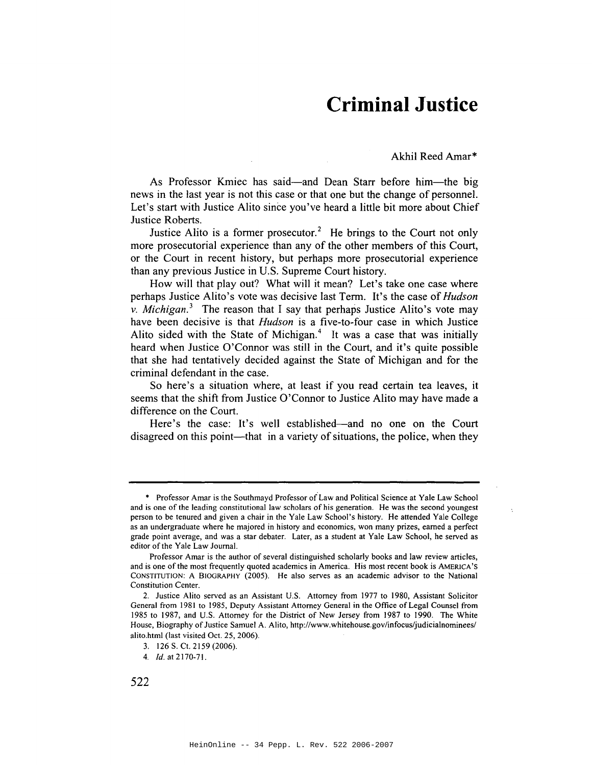## **Criminal Justice**

Akhil Reed Amar\*

As Professor Kmiec has said—and Dean Starr before him—the big news in the last year is not this case or that one but the change of personnel. Let's start with Justice Alito since you've heard a little bit more about Chief Justice Roberts.

Justice Alito is a former prosecutor.<sup>2</sup> He brings to the Court not only more prosecutorial experience than any of the other members of this Court, or the Court in recent history, but perhaps more prosecutorial experience than any previous Justice in U.S. Supreme Court history.

How will that play out? What will it mean? Let's take one case where perhaps Justice Alito's vote was decisive last Term. It's the case of *Hudson v. Michigan.*<sup>3</sup> The reason that I say that perhaps Justice Alito's vote may have been decisive is that *Hudson* is a five-to-four case in which Justice Alito sided with the State of Michigan. $4$  It was a case that was initially heard when Justice O'Connor was still in the Court, and it's quite possible that she had tentatively decided against the State of Michigan and for the criminal defendant in the case.

So here's a situation where, at least if you read certain tea leaves, it seems that the shift from Justice O'Connor to Justice Alito may have made a difference on the Court.

Here's the case: It's well established—and no one on the Court disagreed on this point—that in a variety of situations, the police, when they

<sup>\*</sup> Professor Amar is the Southmayd Professor o{Law and Political Science at Yale Law School and is one of the leading constitutional law scholars of his generation. He was the second youngest person to be tenured and given a chair in the Yale Law School's history. He attended Yale College as an undergraduate where he majored in history and economics, won many prizes, earned a perfect grade point average, and was a star debater. Later, as a student at Yale Law School, he served as editor of the Yale Law Journal.

Professor Amar is the author of several distinguished scholarly books and law review articles, and is one ofthe most frequently quoted academics in America. His most recent book is AMERICA'S CONSTITUTION: A BIOGRAPHY (2005). He also serves as an academic advisor to the National Constitution Center.

<sup>2.</sup> Justice Alito served as an Assistant U.S. Attorney from 1977 to 1980, Assistant Solicitor General from 1981 to 1985, Deputy Assistant Attorney General in the Office of Legal Counsel from 1985 to 1987, and U.S. Attorney for the District of New Jersey from 1987 to 1990. The White House, Biography of Justice Samuel A. Alito, http://www.whitehouse.gov/infocus/judicialnominees/ alito.html (last visited Oct. 25, 2006).

<sup>3.</sup> 126 S. Ct. 2159 (2006).

<sup>4.</sup> Jd. at 2170-71.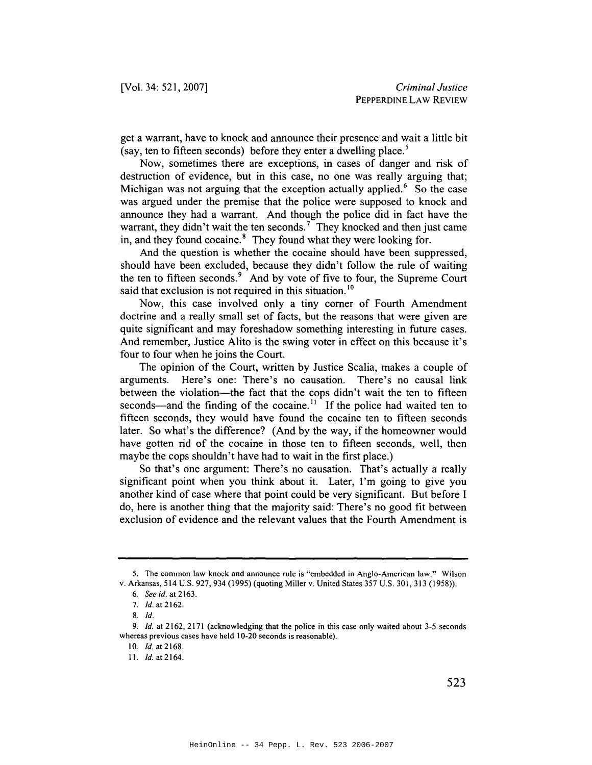get a warrant, have to knock and announce their presence and wait a little bit (say, ten to fifteen seconds) before they enter a dwelling place.<sup>5</sup>

Now, sometimes there are exceptions, in cases of danger and risk of destruction of evidence, but in this case, no one was really arguing that; Michigan was not arguing that the exception actually applied.<sup>6</sup> So the case was argued under the premise that the police were supposed to knock and announce they had a warrant. And though the police did in fact have the warrant, they didn't wait the ten seconds.<sup>7</sup> They knocked and then just came in, and they found cocaine.<sup>8</sup> They found what they were looking for.

And the question is whether the cocaine should have been suppressed, should have been excluded, because they didn't follow the rule of waiting the ten to fifteen seconds.<sup>9</sup> And by vote of five to four, the Supreme Court said that exclusion is not required in this situation.<sup>10</sup>

Now, this case involved only a tiny comer of Fourth Amendment doctrine and a really small set of facts, but the reasons that were given are quite significant and may foreshadow something interesting in future cases. And remember, Justice Alito is the swing voter in effect on this because it's four to four when he joins the Court.

The opinion of the Court, written by Justice Scalia, makes a couple of arguments. Here's one: There's no causation. There's no causal link between the violation—the fact that the cops didn't wait the ten to fifteen seconds—and the finding of the cocaine.<sup>11</sup> If the police had waited ten to fifteen seconds, they would have found the cocaine ten to fifteen seconds later. So what's the difference? (And by the way, if the homeowner would have gotten rid of the cocaine in those ten to fifteen seconds, well, then maybe the cops shouldn't have had to wait in the first place.)

So that's one argument: There's no causation. That's actually a really significant point when you think about it. Later, I'm going to give you another kind of case where that point could be very significant. But before I do, here is another thing that the majority said: There's no good fit between exclusion of evidence and the relevant values that the Fourth Amendment is

<sup>5.</sup> The common law knock and announce rule is "embedded in Anglo-American law." Wilson v. Arkansas, 514 U.S. 927, 934 (1995) (quoting Miller v. United States 357 U.S. 301, 313 (1958)).

<sup>6.</sup> See id. at 2163.

*<sup>7.</sup> Id.* at 2162.

<sup>8.</sup> *Id.*

<sup>9.</sup> *Id.* at 2162, 2171 (acknowledging that the police in this case only waited about 3-5 seconds whereas previous cases have held 10-20 seconds is reasonable).

<sup>10.</sup> *Id.* at 2168.

II. *Id.at2164.*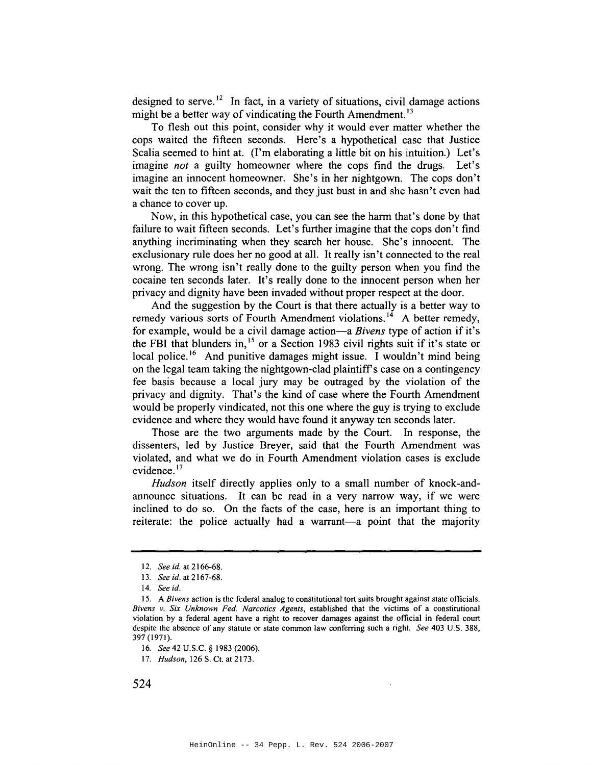designed to serve.<sup>12</sup> In fact, in a variety of situations, civil damage actions might be a better way of vindicating the Fourth Amendment.<sup>13</sup>

To flesh out this point, consider why it would ever matter whether the cops waited the fifteen seconds. Here's a hypothetical case that Justice Scalia seemed to hint at. (I'm elaborating a little bit on his intuition.) Let's imagine *not* a guilty homeowner where the cops find the drugs. Let's imagine an innocent homeowner. She's in her nightgown. The cops don't wait the ten to fifteen seconds, and they just bust in and she hasn't even had a chance to cover up.

Now, in this hypothetical case, you can see the harm that's done by that failure to wait fifteen seconds. Let's further imagine that the cops don't find anything incriminating when they search her house. She's innocent. The exclusionary rule does her no good at all. It really isn't connected to the real wrong. The wrong isn't really done to the guilty person when you find the cocaine ten seconds later. It's really done to the innocent person when her privacy and dignity have been invaded without proper respect at the door.

And the suggestion by the Court is that there actually is a better way to remedy various sorts of Fourth Amendment violations.<sup>14</sup> A better remedy, for example, would be a civil damage action-a *Bivens* type of action if it's the FBI that blunders in,  $15$  or a Section 1983 civil rights suit if it's state or local police.<sup>16</sup> And punitive damages might issue. I wouldn't mind being on the legal team taking the nightgown-clad plaintiffs case on a contingency fee basis because a local jury may be outraged by the violation of the privacy and dignity. That's the kind of case where the Fourth Amendment would be properly vindicated, not this one where the guy is trying to exclude evidence and where they would have found it anyway ten seconds later.

Those are the two arguments made by the Court. In response, the dissenters, led by Justice Breyer, said that the Fourth Amendment was violated, and what we do in Fourth Amendment violation cases is exclude evidence.<sup>17</sup>

*Hudson* itself directly applies only to a small number of knock-andannounce situations. It can be read in a very narrow way, if we were inclined to do so. On the facts of the case, here is an important thing to reiterate: the police actually had a warrant-a point that the majority

*<sup>12.</sup> See id.* at 2166-68.

<sup>13.</sup> *See id.* at 2167-68.

*<sup>14.</sup> See id.*

IS. A *Bivens* action is the federal analog to constitutional tort suits brought against state officials. *Bivens v. Six Unknown Fed. Narcotics Agents,* established that the victims of a constitutional violation by a federal agent have a right to recover damages against the official in federal court despite the absence of any statute or state common law conferring such a right. *See* 403 U.S. 388, 397 (1971).

*<sup>16.</sup> See* 42 U.S.C. § 1983 (2006).

*<sup>17.</sup> Hudson,* 126 S. Ct. at 2173.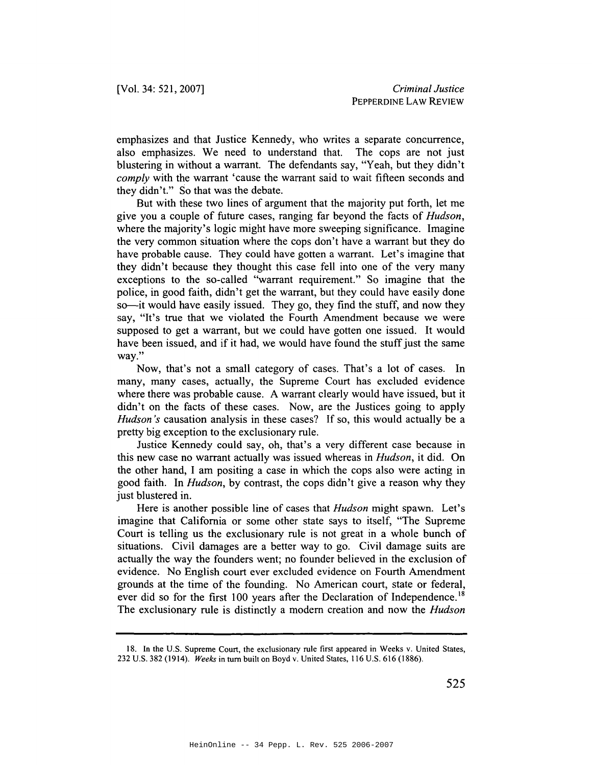emphasizes and that Justice Kennedy, who writes a separate concurrence, also emphasizes. We need to understand that. The cops are not just blustering in without a warrant. The defendants say, "Yeah, but they didn't *comply* with the warrant 'cause the warrant said to wait fifteen seconds and they didn't." So that was the debate.

But with these two lines of argument that the majority put forth, let me give you a couple of future cases, ranging far beyond the facts of *Hudson,* where the majority's logic might have more sweeping significance. Imagine the very common situation where the cops don't have a warrant but they do have probable cause. They could have gotten a warrant. Let's imagine that they didn't because they thought this case fell into one of the very many exceptions to the so-called "warrant requirement." So imagine that the police, in good faith, didn't get the warrant, but they could have easily done so—it would have easily issued. They go, they find the stuff, and now they say, "It's true that we violated the Fourth Amendment because we were supposed to get a warrant, but we could have gotten one issued. It would have been issued, and if it had, we would have found the stuff just the same way."

Now, that's not a small category of cases. That's a lot of cases. In many, many cases, actually, the Supreme Court has excluded evidence where there was probable cause. A warrant clearly would have issued, but it didn't on the facts of these cases. Now, are the Justices going to apply *Hudson's* causation analysis in these cases? If so, this would actually be a pretty big exception to the exclusionary rule.

Justice Kennedy could say, oh, that's a very different case because in this new case no warrant actually was issued whereas in *Hudson,* it did. On the other hand, I am positing a case in which the cops also were acting in good faith. In *Hudson,* by contrast, the cops didn't give a reason why they just blustered in.

Here is another possible line of cases that *Hudson* might spawn. Let's imagine that California or some other state says to itself, "The Supreme Court is telling us the exclusionary rule is not great in a whole bunch of situations. Civil damages are a better way to go. Civil damage suits are actually the way the founders went; no founder believed in the exclusion of evidence. No English court ever excluded evidence on Fourth Amendment grounds at the time of the founding. No American court, state or federal, ever did so for the first 100 years after the Declaration of Independence.<sup>18</sup> The exclusionary rule is distinctly a modem creation and now the *Hudson*

<sup>18.</sup> In the U.S. Supreme Court, the exclusionary rule first appeared in Weeks v. United States, 232 U.S. 382 (1914). *Weeks* in tum built on Boyd v. United States, 116 U.S. 616 (1886).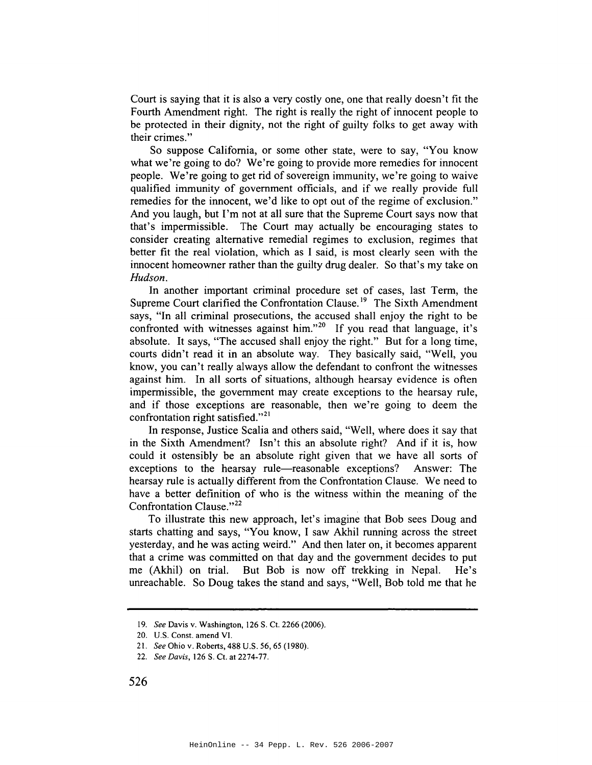Court is saying that it is also a very costly one, one that really doesn't fit the Fourth Amendment right. The right is really the right of innocent people to be protected in their dignity, not the right of guilty folks to get away with their crimes."

So suppose California, or some other state, were to say, "You know what we're going to do? We're going to provide more remedies for innocent people. We're going to get rid of sovereign immunity, we're going to waive qualified immunity of government officials, and if we really provide full remedies for the innocent, we'd like to opt out of the regime of exclusion." And you laugh, but I'm not at all sure that the Supreme Court says now that that's impermissible. The Court may actually be encouraging states to consider creating alternative remedial regimes to exclusion, regimes that better fit the real violation, which as I said, is most clearly seen with the innocent homeowner rather than the guilty drug dealer. So that's my take on *Hudson.*

In another important criminal procedure set of cases, last Term, the Supreme Court clarified the Confrontation Clause.<sup>19</sup> The Sixth Amendment says, "In all criminal prosecutions, the accused shall enjoy the right to be confronted with witnesses against him."<sup>20</sup> If you read that language, it's absolute. It says, "The accused shall enjoy the right." But for a long time, courts didn't read it in an absolute way. They basically said, "Well, you know, you can't really always allow the defendant to confront the witnesses against him. In all sorts of situations, although hearsay evidence is often impermissible, the government may create exceptions to the hearsay rule, and if those exceptions are reasonable, then we're going to deem the confrontation right satisfied." $2<sup>1</sup>$ 

In response, Justice Scalia and others said, "Well, where does it say that in the Sixth Amendment? Isn't this an absolute right? And if it is, how could it ostensibly be an absolute right given that we have all sorts of exceptions to the hearsay rule—reasonable exceptions? Answer: The hearsay rule is actually different from the Confrontation Clause. We need to have a better definition of who is the witness within the meaning of the Confrontation Clause."<sup>22</sup>

To illustrate this new approach, let's imagine that Bob sees Doug and starts chatting and says, "You know, I saw Akhil running across the street yesterday, and he was acting weird." And then later on, it becomes apparent that a crime was committed on that day and the government decides to put me (Akhil) on trial. But Bob is now off trekking in Nepal. He's unreachable. So Doug takes the stand and says, "Well, Bob told me that he

*<sup>19.</sup> See* Davis v. Washington, 126 S. Ct. 2266 (2006).

<sup>20.</sup> U.S. Const. amend VI.

*<sup>21.</sup> See* Ohio v. Roberts, 488 U.S. 56, 65 (1980).

*<sup>22.</sup> See Davis,* 126 S. Ct. at 2274-77.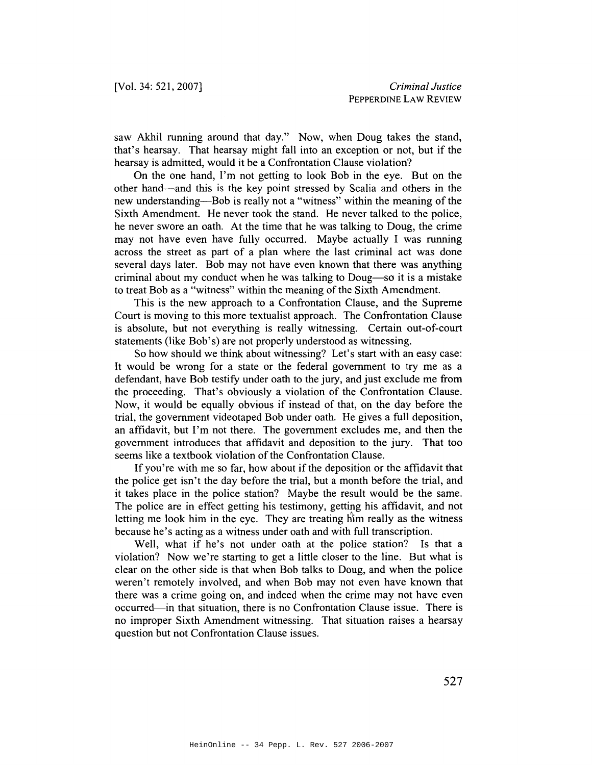saw Akhil running around that day." Now, when Doug takes the stand, that's hearsay. That hearsay might fall into an exception or not, but if the hearsay is admitted, would it be a Confrontation Clause violation?

On the one hand, I'm not getting to look Bob in the eye. But on the other hand-and this is the key point stressed by Scalia and others in the new understanding—Bob is really not a "witness" within the meaning of the Sixth Amendment. He never took the stand. He never talked to the police, he never swore an oath. At the time that he was talking to Doug, the crime may not have even have fully occurred. Maybe actually I was running across the street as part of a plan where the last criminal act was done several days later. Bob may not have even known that there was anything criminal about my conduct when he was talking to Doug-so it is a mistake to treat Bob as a "witness" within the meaning of the Sixth Amendment.

This is the new approach to a Confrontation Clause, and the Supreme Court is moving to this more textualist approach. The Confrontation Clause is absolute, but not everything is really witnessing. Certain out-of-court statements (like Bob's) are not properly understood as witnessing.

So how should we think about witnessing? Let's start with an easy case: It would be wrong for a state or the federal government to try me as a defendant, have Bob testify under oath to the jury, and just exclude me from the proceeding. That's obviously a violation of the Confrontation Clause. Now, it would be equally obvious if instead of that, on the day before the trial, the government videotaped Bob under oath. He gives a full deposition, an affidavit, but I'm not there. The government excludes me, and then the government introduces that affidavit and deposition to the jury. That too seems like a textbook violation of the Confrontation Clause.

If you're with me so far, how about if the deposition or the affidavit that the police get isn't the day before the trial, but a month before the trial, and it takes place in the police station? Maybe the result would be the same. The police are in effect getting his testimony, getting his affidavit, and not letting me look him in the eye. They are treating him really as the witness because he's acting as a witness under oath and with full transcription.

Well, what if he's not under oath at the police station? Is that a violation? Now we're starting to get a little closer to the line. But what is clear on the other side is that when Bob talks to Doug, and when the police weren't remotely involved, and when Bob may not even have known that there was a crime going on, and indeed when the crime may not have even occurred-in that situation, there is no Confrontation Clause issue. There is no improper Sixth Amendment witnessing. That situation raises a hearsay question but not Confrontation Clause issues.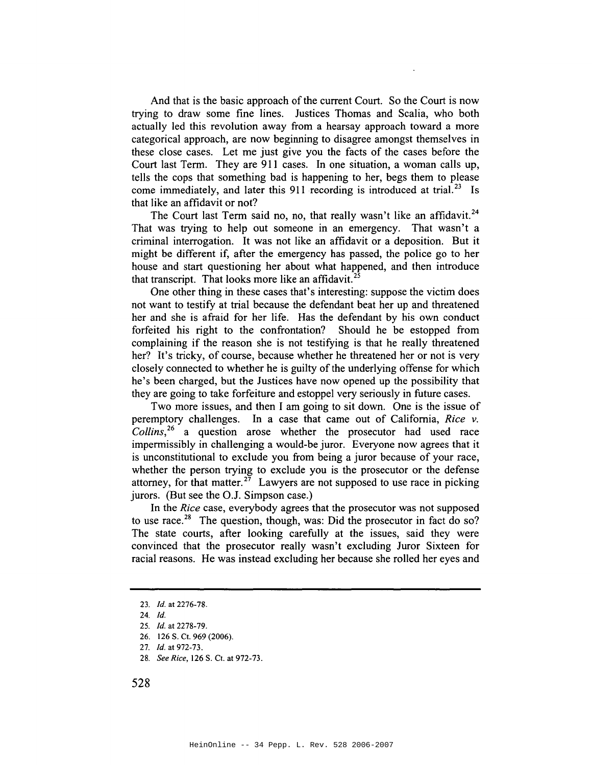And that is the basic approach of the current Court. So the Court is now trying to draw some fine lines. Justices Thomas and Scalia, who both actually led this revolution away from a hearsay approach toward a more categorical approach, are now beginning to disagree amongst themselves in these close cases. Let me just give you the facts of the cases before the Court last Term. They are 911 cases. **In** one situation, a woman calls up, tells the cops that something bad is happening to her, begs them to please come immediately, and later this 911 recording is introduced at trial.<sup>23</sup> Is that like an affidavit or not?

The Court last Term said no, no, that really wasn't like an affidavit.<sup>24</sup> That was trying to help out someone in an emergency. That wasn't a criminal interrogation. It was not like an affidavit or a deposition. But it might be different if, after the emergency has passed, the police go to her house and start questioning her about what happened, and then introduce that transcript. That looks more like an affidavit.<sup>25</sup>

One other thing in these cases that's interesting: suppose the victim does not want to testify at trial because the defendant beat her up and threatened her and she is afraid for her life. Has the defendant by his own conduct forfeited his right to the confrontation? Should he be estopped from complaining if the reason she is not testifying is that he really threatened her? It's tricky, of course, because whether he threatened her or not is very closely connected to whether he is guilty of the underlying offense for which he's been charged, but the Justices have now opened up the possibility that they are going to take forfeiture and estoppel very seriously in future cases.

Two more issues, and then I am going to sit down. One is the issue of peremptory challenges. **In** a case that came out of California, *Rice v. Collins,26* a question arose whether the prosecutor had used race impermissibly in challenging a would-be juror. Everyone now agrees that it is unconstitutional to exclude you from being a juror because of your race, whether the person trying to exclude you is the prosecutor or the defense attorney, for that matter.<sup>27</sup> Lawyers are not supposed to use race in picking jurors. (But see the O.J. Simpson case.)

**In** the *Rice* case, everybody agrees that the prosecutor was not supposed to use race.<sup>28</sup> The question, though, was: Did the prosecutor in fact do so? The state courts, after looking carefully at the issues, said they were convinced that the prosecutor really wasn't excluding Juror Sixteen for racial reasons. He was instead excluding her because she rolled her eyes and

*28. See Rice,* 126 S. Ct. at 972-73.

*<sup>23.</sup>* !d. at 2276-78.

*<sup>24.</sup> Id.*

*<sup>25.</sup> Id.* at 2278-79.

<sup>26.</sup> 126 S. Ct. 969 (2006).

*<sup>27.</sup> Id.* at 972-73.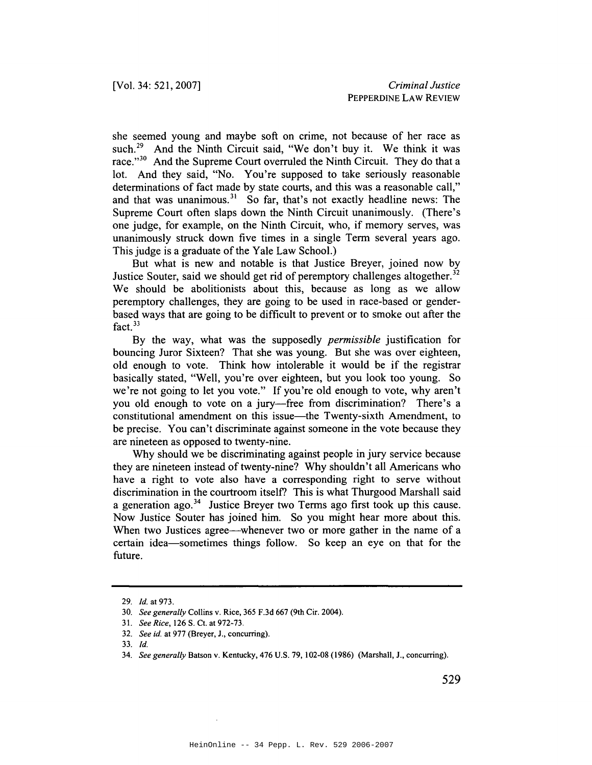she seemed young and maybe soft on crime, not because of her race as such.<sup>29</sup> And the Ninth Circuit said, "We don't buy it. We think it was race."<sup>30</sup> And the Supreme Court overruled the Ninth Circuit. They do that a lot. And they said, "No. You're supposed to take seriously reasonable determinations of fact made by state courts, and this was a reasonable call," and that was unanimous.<sup>31</sup> So far, that's not exactly headline news: The Supreme Court often slaps down the Ninth Circuit unanimously. (There's one judge, for example, on the Ninth Circuit, who, if memory serves, was unanimously struck down five times in a single Term several years ago. This judge is a graduate of the Yale Law School.)

But what is new and notable is that Justice Breyer, joined now by Justice Souter, said we should get rid of peremptory challenges altogether.<sup>32</sup> We should be abolitionists about this, because as long as we allow peremptory challenges, they are going to be used in race-based or genderbased ways that are going to be difficult to prevent or to smoke out after the fact. $33$ 

By the way, what was the supposedly *permissible* justification for bouncing Juror Sixteen? That she was young. But she was over eighteen, old enough to vote. Think how intolerable it would be if the registrar basically stated, "Well, you're over eighteen, but you look too young. So we're not going to let you vote." If you're old enough to vote, why aren't you old enough to vote on a jury-free from discrimination? There's a constitutional amendment on this issue-the Twenty-sixth Amendment, to be precise. You can't discriminate against someone in the vote because they are nineteen as opposed to twenty-nine.

Why should we be discriminating against people in jury service because they are nineteen instead of twenty-nine? Why shouldn't all Americans who have a right to vote also have a corresponding right to serve without discrimination in the courtroom itself? This is what Thurgood Marshall said a generation ago. <sup>34</sup> Justice Breyer two Terms ago first took up this cause. Now Justice Souter has joined him. So you might hear more about this. When two Justices agree—whenever two or more gather in the name of a certain idea-sometimes things follow. So keep an eye on that for the future.

<sup>29.</sup> Jd. at 973.

<sup>30.</sup> *See generally* Collins v. Rice, 365 F.3d 667 (9th Cir. 2004).

<sup>31.</sup> *See Rice,* 126 S. Ct. at 972-73.

*<sup>32.</sup> See id.* at 977 (Breyer, J., concurring).

<sup>33.</sup> Jd.

*<sup>34.</sup> See generally* Batson v. Kentucky, 476 U.S. 79,102-08 (1986) (Marshall, J., concurring).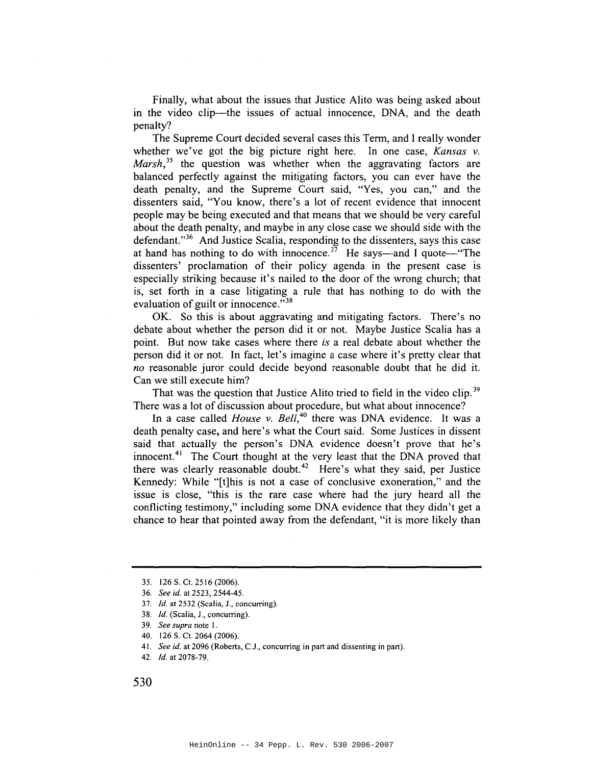Finally, what about the issues that Justice Alito was being asked about in the video clip—the issues of actual innocence, DNA, and the death penalty?

The Supreme Court decided several cases this Term, and I really wonder whether we've got the big picture right here. In one case, *Kansas* v. *Marsh*,<sup>35</sup> the question was whether when the aggravating factors are balanced perfectly against the mitigating factors, you can ever have the death penalty, and the Supreme Court said, "Yes, you can," and the dissenters said, "You know, there's a lot of recent evidence that innocent people may be being executed and that means that we should be very careful about the death penalty, and maybe in any close case we should side with the defendant."<sup>36</sup> And Justice Scalia, responding to the dissenters, says this case at hand has nothing to do with innocence.<sup>37</sup> He says—and I quote—"The dissenters' proclamation of their policy agenda in the present case is especially striking because it's nailed to the door of the wrong church; that is, set forth in a case litigating a rule that has nothing to do with the evaluation of guilt or innocence. $^{338}$ 

OK. So this is about aggravating and mitigating factors. There's no debate about whether the person did it or not. Maybe Justice Scalia has a point. But now take cases where there *is* a real debate about whether the person did it or not. In fact, let's imagine a case where it's pretty clear that no reasonable juror could decide beyond reasonable doubt that he did it. Can we still execute him?

That was the question that Justice Alito tried to field in the video clip.<sup>39</sup> There was a lot of discussion about procedure, but what about innocence?

In a case called *House* v. *Bell,40* there was DNA evidence. It was a death penalty case, and here's what the Court said. Some Justices in dissent said that actually the person's DNA evidence doesn't prove that he's innocent.<sup>41</sup> The Court thought at the very least that the DNA proved that there was clearly reasonable doubt.<sup>42</sup> Here's what they said, per Justice Kennedy: While "[t]his is not a case of conclusive exoneration," and the issue is close, "this is the rare case where had the jury heard all the conflicting testimony," including some DNA evidence that they didn't get a chance to hear that pointed away from the defendant, "it is more likely than

*37. [d.* at 2532 (Scalia, J., concurring).

- 40. 126 S. Ct. 2064 (2006).
- *41. See id.* at 2096 (Roberts, c.J., concurring in part and dissenting in part).

<sup>35.</sup> 126 S. Ct. 2516 (2006).

*<sup>36.</sup> See id.* at 2523, 2544-45.

<sup>38.</sup> *Id.* (Scalia, J., concurring).

*<sup>39.</sup> See supra* note I.

*<sup>42.</sup> [d.* at 2078-79.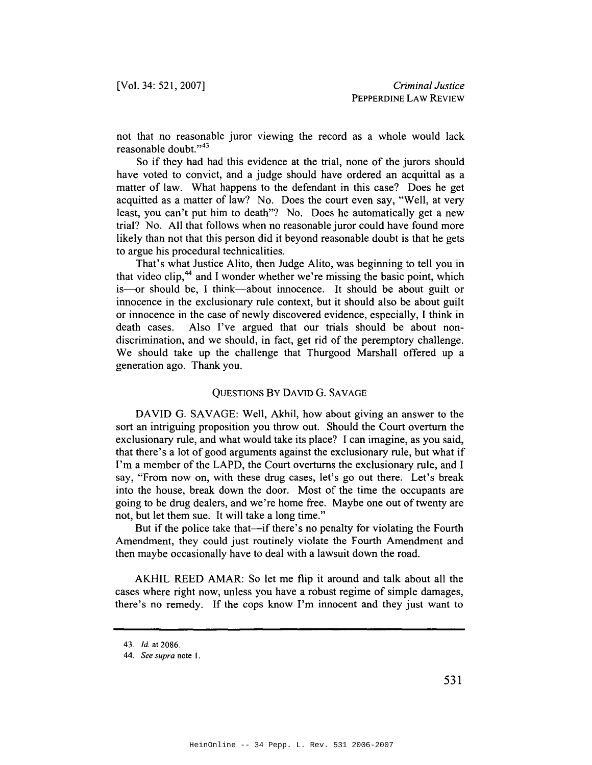not that no reasonable juror viewing the record as a whole would lack reasonable doubt."<sup>43</sup>

So if they had had this evidence at the trial, none of the jurors should have voted to convict, and a judge should have ordered an acquittal as a matter of law. What happens to the defendant in this case? Does he get acquitted as a matter of law? No. Does the court even say, "Well, at very least, you can't put him to death"? No. Does he automatically get a new trial? No. All that follows when no reasonable juror could have found more likely than not that this person did it beyond reasonable doubt is that he gets to argue his procedural technicalities.

That's what Justice Alito, then Judge Alito, was beginning to tell you in that video clip,<sup>44</sup> and I wonder whether we're missing the basic point, which is-or should be, I think-about innocence. It should be about guilt or innocence in the exclusionary rule context, but it should also be about guilt or innocence in the case of newly discovered evidence, especially, I think in death cases. Also I've argued that our trials should be about nondiscrimination, and we should, in fact, get rid of the peremptory challenge. We should take up the challenge that Thurgood Marshall offered up a generation ago. Thank you.

## QUESTIONS By DAVID G. SAVAGE

DAVID G. SAVAGE: Well, Akhil, how about giving an answer to the sort an intriguing proposition you throw out. Should the Court overturn the exclusionary rule, and what would take its place? I can imagine, as you said, that there's a lot of good arguments against the exclusionary rule, but what if I'm a member of the LAPD, the Court overturns the exclusionary rule, and I say, "From now on, with these drug cases, let's go out there. Let's break into the house, break down the door. Most of the time the occupants are going to be drug dealers, and we're home free. Maybe one out of twenty are not, but let them sue. It will take a long time."

But if the police take that—if there's no penalty for violating the Fourth Amendment, they could just routinely violate the Fourth Amendment and then maybe occasionally have to deal with a lawsuit down the road.

AKHIL REED AMAR: So let me flip it around and talk about all the cases where right now, unless you have a robust regime of simple damages, there's no remedy. If the cops know I'm innocent and they just want to

*<sup>43.</sup> Id.* at 2086.

*<sup>44.</sup> See supra* note I.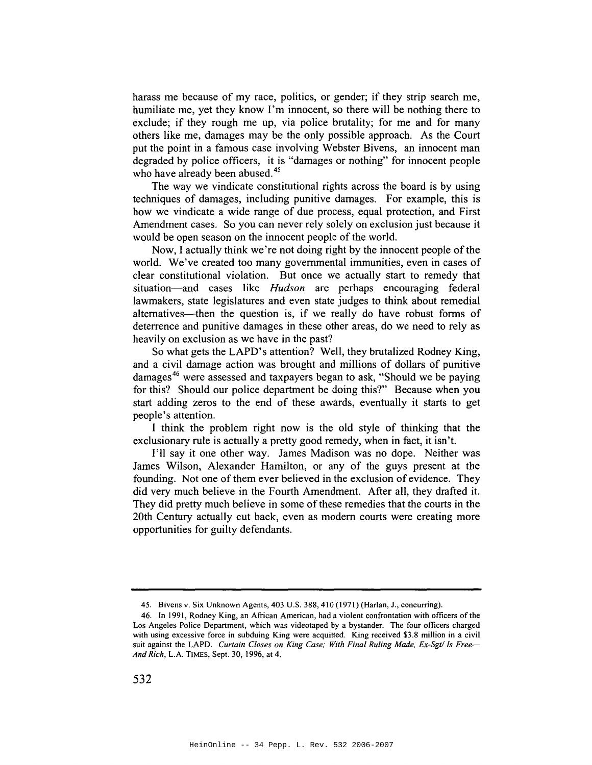harass me because of my race, politics, or gender; if they strip search me, humiliate me, yet they know I'm innocent, so there will be nothing there to exclude; if they rough me up, via police brutality; for me and for many others like me, damages may be the only possible approach. As the Court put the point in a famous case involving Webster Bivens, an innocent man degraded by police officers, it is "damages or nothing" for innocent people who have already been abused.<sup>45</sup>

The way we vindicate constitutional rights across the board is by using techniques of damages, including punitive damages. For example, this is how we vindicate a wide range of due process, equal protection, and First Amendment cases. So you can never rely solely on exclusion just because it would be open season on the innocent people of the world.

Now, I actually think we're not doing right by the innocent people of the world. We've created too many governmental immunities, even in cases of clear constitutional violation. But once we actually start to remedy that situation-and cases like *Hudson* are perhaps encouraging federal lawmakers, state legislatures and even state judges to think about remedial alternatives—then the question is, if we really do have robust forms of deterrence and punitive damages in these other areas, do we need to rely as heavily on exclusion as we have in the past?

So what gets the LAPD's attention? Well, they brutalized Rodney King, and a civil damage action was brought and millions of dollars of punitive damages <sup>46</sup> were assessed and taxpayers began to ask, "Should we be paying for this? Should our police department be doing this?" Because when you start adding zeros to the end of these awards, eventually it starts to get people's attention.

I think the problem right now is the old style of thinking that the exclusionary rule is actually a pretty good remedy, when in fact, it isn't.

I'll say it one other way. James Madison was no dope. Neither was James Wilson, Alexander Hamilton, or any of the guys present at the founding. Not one of them ever believed in the exclusion of evidence. They did very much believe in the Fourth Amendment. After all, they drafted it. They did pretty much believe in some of these remedies that the courts in the 20th Century actually cut back, even as modern courts were creating more opportunities for guilty defendants.

<sup>45.</sup> Bivens v. Six Unknown Agents, 403 U.S. 388,410 (1971) (Harlan, J., concurring).

<sup>46.</sup> In 1991, Rodney King, an African American, had a violent confrontation with officers ofthe Los Angeles Police Department, which was videotaped by a bystander. The four officers charged with using excessive force in subduing King were acquitted. King received \$3.8 million in a civil suit against the LAPD. *Curtain Closes on King Case; With Final Ruling Made, Ex-Sgt/ Is Free-And Rich,* L.A. TIMES, Sept. 30, 1996, at 4.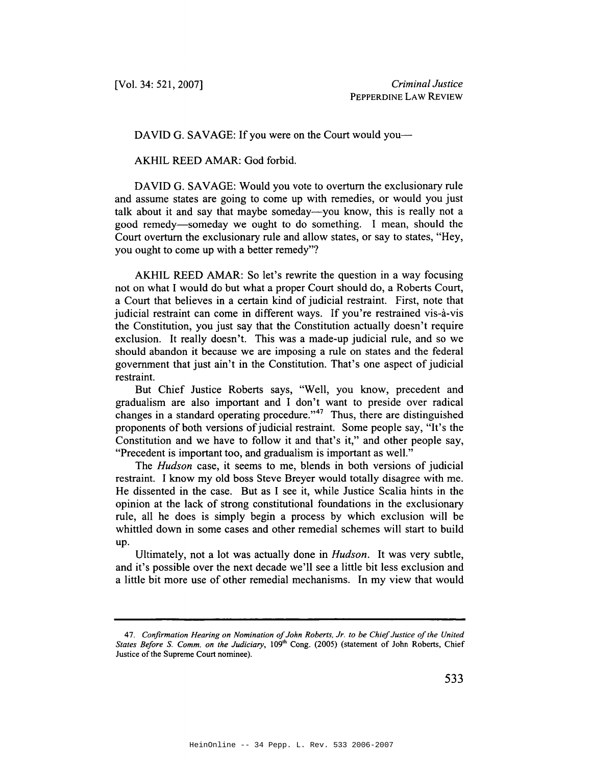DAVID G. SAVAGE: If you were on the Court would you---

AKHIL REED AMAR: God forbid.

DAVID G. SAVAGE: Would you vote to overturn the exclusionary rule and assume states are going to come up with remedies, or would you just talk about it and say that maybe someday—you know, this is really not a good remedy-someday we ought to do something. I mean, should the Court overturn the exclusionary rule and allow states, or say to states, "Hey, you ought to come up with a better remedy"?

AKHIL REED AMAR: So let's rewrite the question in a way focusing not on what 1would do but what a proper Court should do, a Roberts Court, a Court that believes in a certain kind of judicial restraint. First, note that judicial restraint can come in different ways. If you're restrained vis-à-vis the Constitution, you just say that the Constitution actually doesn't require exclusion. It really doesn't. This was a made-up judicial rule, and so we should abandon it because we are imposing a rule on states and the federal government that just ain't in the Constitution. That's one aspect of judicial restraint.

But Chief Justice Roberts says, "Well, you know, precedent and gradualism are also important and I don't want to preside over radical changes in a standard operating procedure."<sup>47</sup> Thus, there are distinguished proponents of both versions of judicial restraint. Some people say, "It's the Constitution and we have to follow it and that's it," and other people say, "Precedent is important too, and gradualism is important as well."

The *Hudson* case, it seems to me, blends in both versions of judicial restraint. I know my old boss Steve Breyer would totally disagree with me. He dissented in the case. But as I see it, while Justice Scalia hints in the opinion at the lack of strong constitutional foundations in the exclusionary rule, all he does is simply begin a process by which exclusion will be whittled down in some cases and other remedial schemes will start to build up.

Ultimately, not a lot was actually done in *Hudson.* It was very subtle, and it's possible over the next decade we'll see a little bit less exclusion and a little bit more use of other remedial mechanisms. In my view that would

*<sup>47.</sup> Confirmation Hearing on Nomination ofJohn Roberts, Jr. to be ChiefJustice ofthe United States Before S. Comm. on the Judiciary, 109<sup>th</sup> Cong. (2005) (statement of John Roberts, Chief* Justice of the Supreme Court nominee).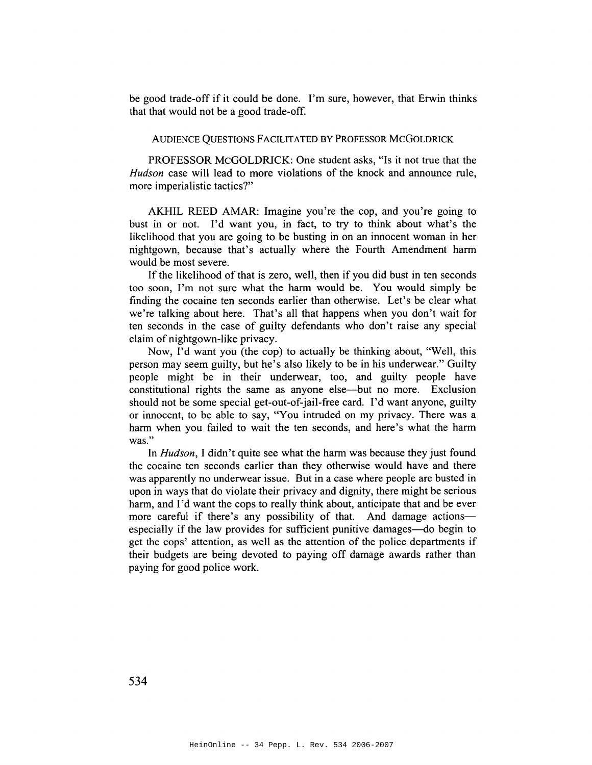be good trade-off if it could be done. I'm sure, however, that Erwin thinks that that would not be a good trade-off.

## AUDIENCE QUESTIONS FACILITATED BY PROFESSOR MCGOLDRICK

PROFESSOR McGOLDRICK: One student asks, "Is it not true that the *Hudson* case will lead to more violations of the knock and announce rule, more imperialistic tactics?"

AKHIL REED AMAR: Imagine you're the cop, and you're going to bust in or not. I'd want you, in fact, to try to think about what's the likelihood that you are going to be busting in on an innocent woman in her nightgown, because that's actually where the Fourth Amendment harm would be most severe.

If the likelihood of that is zero, well, then if you did bust in ten seconds too soon, I'm not sure what the harm would be. You would simply be finding the cocaine ten seconds earlier than otherwise. Let's be clear what we're talking about here. That's all that happens when you don't wait for ten seconds in the case of guilty defendants who don't raise any special claim of nightgown-like privacy.

Now, I'd want you (the cop) to actually be thinking about, "Well, this person may seem guilty, but he's also likely to be in his underwear." Guilty people might be in their underwear, too, and guilty people have constitutional rights the same as anyone else-but no more. Exclusion should not be some special get-out-of-jail-free card. I'd want anyone, guilty or innocent, to be able to say, "You intruded on my privacy. There was a harm when you failed to wait the ten seconds, and here's what the harm was."

In *Hudson,* I didn't quite see what the harm was because they just found the cocaine ten seconds earlier than they otherwise would have and there was apparently no underwear issue. But in a case where people are busted in upon in ways that do violate their privacy and dignity, there might be serious harm, and I'd want the cops to really think about, anticipate that and be ever more careful if there's any possibility of that. And damage actionsespecially if the law provides for sufficient punitive damages—do begin to get the cops' attention, as well as the attention of the police departments if their budgets are being devoted to paying off damage awards rather than paying for good police work.